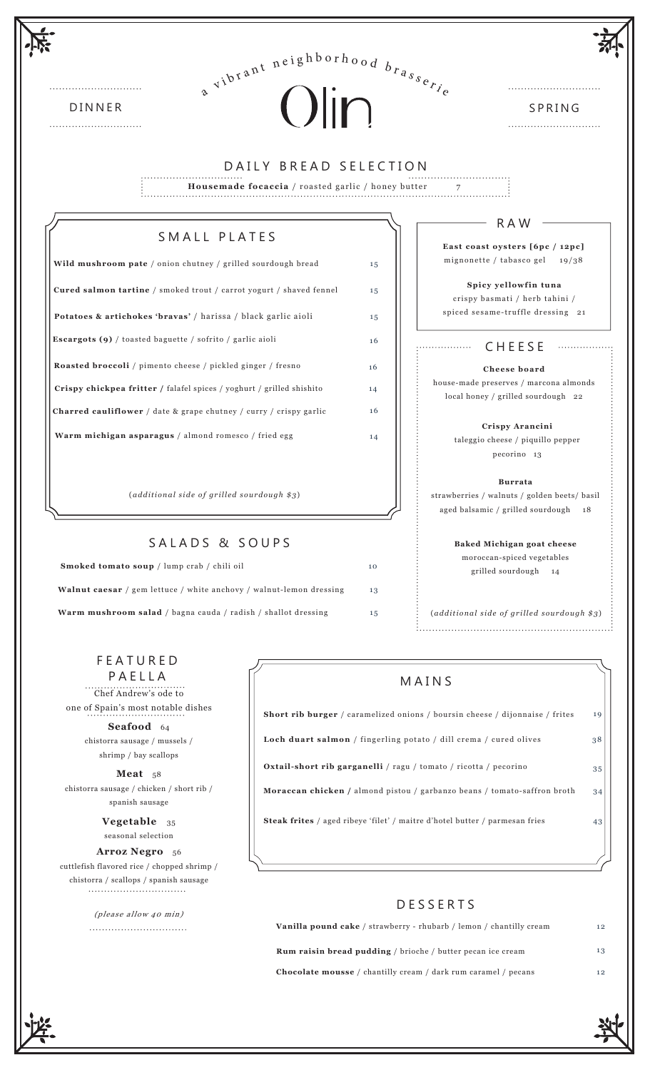| $a^{vib^{t}}$ <sup>neighborhood</sup> $b_{r_{a_{s_{e_{r_{i}}}}}}$                                                          |    |                                                                                         |
|----------------------------------------------------------------------------------------------------------------------------|----|-----------------------------------------------------------------------------------------|
| Olin<br><b>DINNER</b>                                                                                                      |    | SPRING                                                                                  |
| DAILY BREAD SELECTION                                                                                                      |    |                                                                                         |
| Housemade focaccia / roasted garlic / honey butter                                                                         |    |                                                                                         |
|                                                                                                                            |    |                                                                                         |
| SMALL PLATES                                                                                                               |    | R A W                                                                                   |
| Wild mushroom pate / onion chutney / grilled sourdough bread                                                               | 15 | East coast oysters [6pc / 12pc]<br>mignonette / tabasco gel $19/38$                     |
| Cured salmon tartine / smoked trout / carrot yogurt / shaved fennel                                                        | 15 | Spicy yellowfin tuna                                                                    |
|                                                                                                                            |    | crispy basmati / herb tahini /<br>spiced sesame-truffle dressing 21                     |
| Potatoes & artichokes 'bravas' / harissa / black garlic aioli<br>Escargots (9) / toasted baguette / sofrito / garlic aioli | 15 |                                                                                         |
|                                                                                                                            | 16 | <b>CHEESE</b><br>.                                                                      |
| Roasted broccoli / pimento cheese / pickled ginger / fresno                                                                | 16 | Cheese board<br>house-made preserves / marcona almonds                                  |
| Crispy chickpea fritter / falafel spices / yoghurt / grilled shishito                                                      | 14 | local honey / grilled sourdough 22                                                      |
| <b>Charred cauliflower</b> / date & grape chutney / curry / crispy garlic                                                  | 16 | Crispy Arancini                                                                         |
| Warm michigan asparagus / almond romesco / fried egg                                                                       | 14 | taleggio cheese / piquillo pepper<br>pecorino 13                                        |
|                                                                                                                            |    | <b>Burrata</b>                                                                          |
| $(additional side of grilled soundough $3)$                                                                                |    | strawberries / walnuts / golden beets/ basil<br>aged balsamic / grilled sourdough<br>18 |
| SALADS & SOUPS                                                                                                             |    | <b>Baked Michigan goat cheese</b>                                                       |
| Smoked tomato soup / lump crab / chili oil                                                                                 | 10 | moroccan-spiced vegetables<br>grilled sourdough 14                                      |
| Walnut caesar / gem lettuce / white anchovy / walnut-lemon dressing                                                        | 13 |                                                                                         |
| Warm mushroom salad / bagna cauda / radish / shallot dressing                                                              | 15 | (additional side of grilled sourdough \$3)                                              |

Chef Andrew's ode to one of Spain's most notable dishes

> **Seafood** 64 chistorra sausage / mussels / shrimp / bay scallops

**Meat** 58 chistorra sausage / chicken / short rib / spanish sausage

> **Vegetable** 35 seasonal selection

Arroz Negro 56 cuttlefish flavored rice / chopped shrimp / chistorra / scallops / spanish sausage 

> (please allow 40 min)

# MAINS

**Short rib burger** / caramelized onions / boursin cheese / dijonnaise / frites

**Loch duart salmon** / fingerling potato / dill crema / cured olives **Oxtail-short rib garganelli** / ragu / tomato / ricotta / pecorino

34 **Moraccan chicken /** almond pistou / garbanzo beans / tomato-saffron broth

35

43

38

19

**Steak frites** / aged ribeye 'filet' / maitre d'hotel butter / parmesan fries

# DESSERTS

| <b>Vanilla pound cake</b> / strawberry - rhubarb / lemon / chantilly cream | 12 |
|----------------------------------------------------------------------------|----|
| <b>Rum raisin bread pudding</b> / brioche / butter pecan ice cream         | 13 |
| <b>Chocolate mousse</b> / chantilly cream / dark rum caramel / pecans      | 12 |